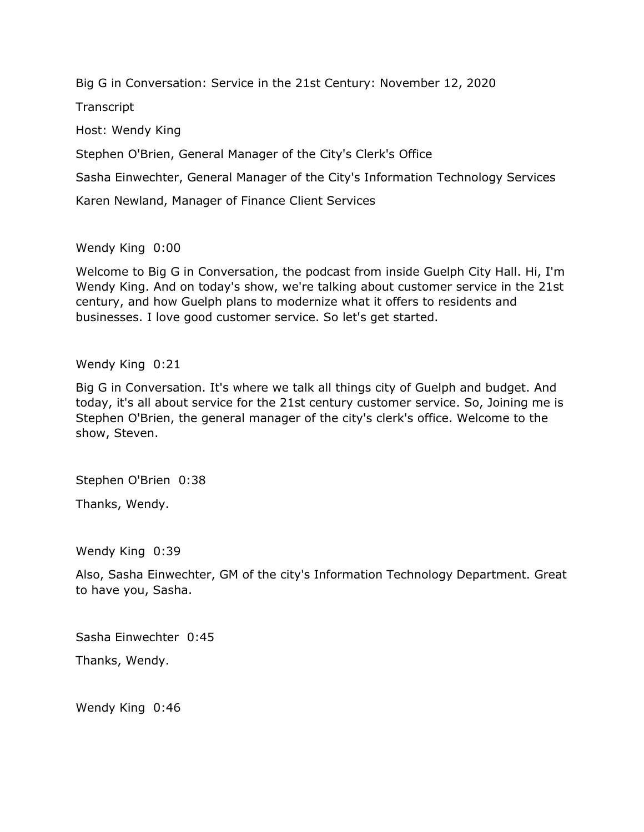Big G in Conversation: Service in the 21st Century: November 12, 2020

**Transcript** 

Host: Wendy King

Stephen O'Brien, General Manager of the City's Clerk's Office

Sasha Einwechter, General Manager of the City's Information Technology Services

Karen Newland, Manager of Finance Client Services

Wendy King 0:00

Welcome to Big G in Conversation, the podcast from inside Guelph City Hall. Hi, I'm Wendy King. And on today's show, we're talking about customer service in the 21st century, and how Guelph plans to modernize what it offers to residents and businesses. I love good customer service. So let's get started.

Wendy King 0:21

Big G in Conversation. It's where we talk all things city of Guelph and budget. And today, it's all about service for the 21st century customer service. So, Joining me is Stephen O'Brien, the general manager of the city's clerk's office. Welcome to the show, Steven.

Stephen O'Brien 0:38

Thanks, Wendy.

Wendy King 0:39

Also, Sasha Einwechter, GM of the city's Information Technology Department. Great to have you, Sasha.

Sasha Einwechter 0:45

Thanks, Wendy.

Wendy King 0:46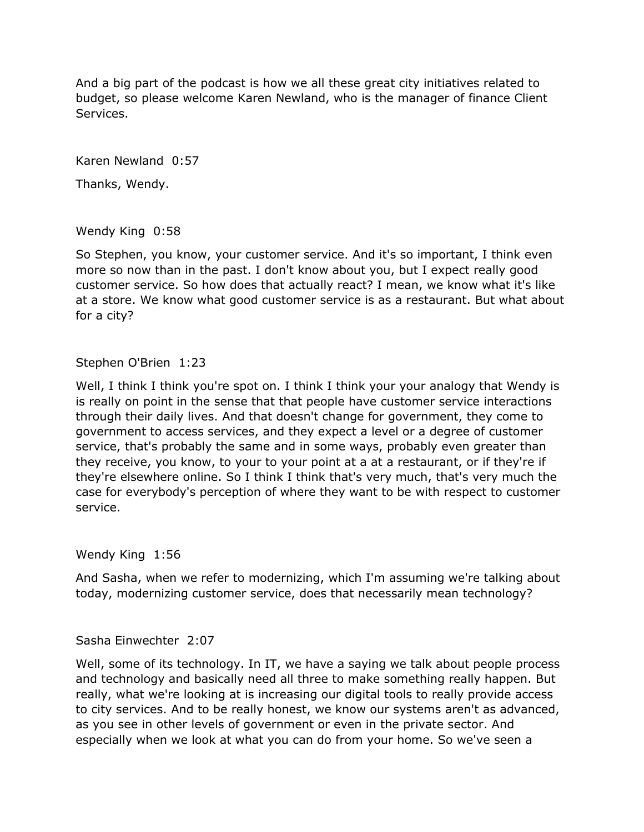And a big part of the podcast is how we all these great city initiatives related to budget, so please welcome Karen Newland, who is the manager of finance Client Services.

Karen Newland 0:57

Thanks, Wendy.

Wendy King 0:58

So Stephen, you know, your customer service. And it's so important, I think even more so now than in the past. I don't know about you, but I expect really good customer service. So how does that actually react? I mean, we know what it's like at a store. We know what good customer service is as a restaurant. But what about for a city?

## Stephen O'Brien 1:23

Well, I think I think you're spot on. I think I think your your analogy that Wendy is is really on point in the sense that that people have customer service interactions through their daily lives. And that doesn't change for government, they come to government to access services, and they expect a level or a degree of customer service, that's probably the same and in some ways, probably even greater than they receive, you know, to your to your point at a at a restaurant, or if they're if they're elsewhere online. So I think I think that's very much, that's very much the case for everybody's perception of where they want to be with respect to customer service.

Wendy King 1:56

And Sasha, when we refer to modernizing, which I'm assuming we're talking about today, modernizing customer service, does that necessarily mean technology?

#### Sasha Einwechter 2:07

Well, some of its technology. In IT, we have a saying we talk about people process and technology and basically need all three to make something really happen. But really, what we're looking at is increasing our digital tools to really provide access to city services. And to be really honest, we know our systems aren't as advanced, as you see in other levels of government or even in the private sector. And especially when we look at what you can do from your home. So we've seen a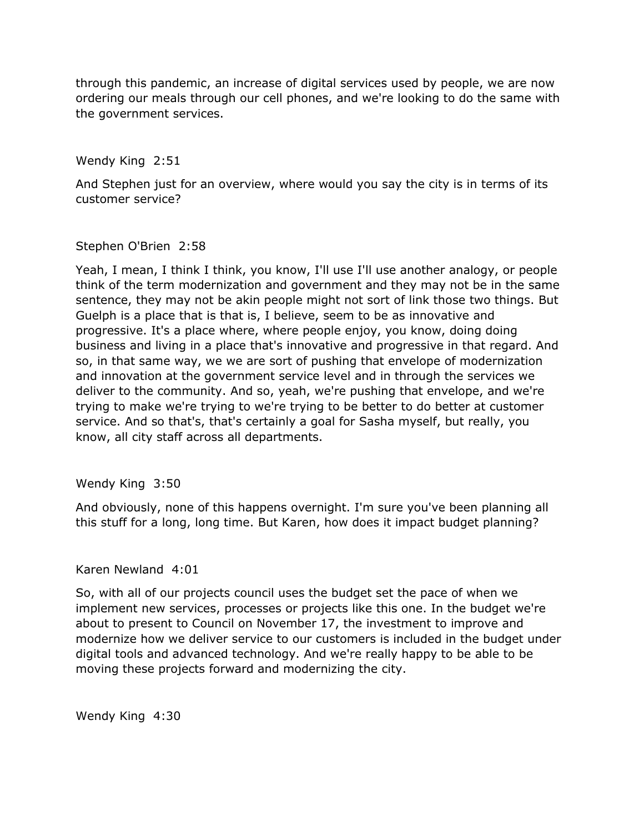through this pandemic, an increase of digital services used by people, we are now ordering our meals through our cell phones, and we're looking to do the same with the government services.

Wendy King 2:51

And Stephen just for an overview, where would you say the city is in terms of its customer service?

#### Stephen O'Brien 2:58

Yeah, I mean, I think I think, you know, I'll use I'll use another analogy, or people think of the term modernization and government and they may not be in the same sentence, they may not be akin people might not sort of link those two things. But Guelph is a place that is that is, I believe, seem to be as innovative and progressive. It's a place where, where people enjoy, you know, doing doing business and living in a place that's innovative and progressive in that regard. And so, in that same way, we we are sort of pushing that envelope of modernization and innovation at the government service level and in through the services we deliver to the community. And so, yeah, we're pushing that envelope, and we're trying to make we're trying to we're trying to be better to do better at customer service. And so that's, that's certainly a goal for Sasha myself, but really, you know, all city staff across all departments.

# Wendy King 3:50

And obviously, none of this happens overnight. I'm sure you've been planning all this stuff for a long, long time. But Karen, how does it impact budget planning?

# Karen Newland 4:01

So, with all of our projects council uses the budget set the pace of when we implement new services, processes or projects like this one. In the budget we're about to present to Council on November 17, the investment to improve and modernize how we deliver service to our customers is included in the budget under digital tools and advanced technology. And we're really happy to be able to be moving these projects forward and modernizing the city.

Wendy King 4:30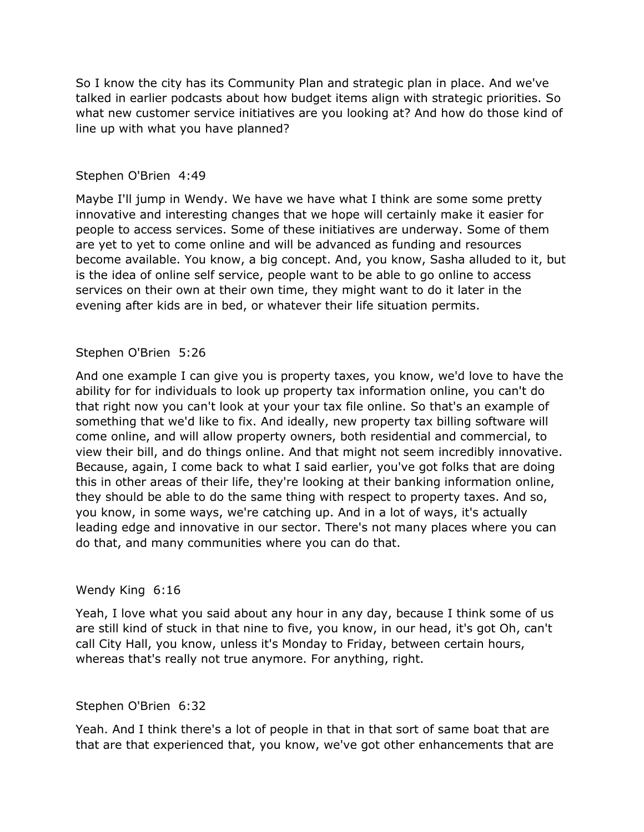So I know the city has its Community Plan and strategic plan in place. And we've talked in earlier podcasts about how budget items align with strategic priorities. So what new customer service initiatives are you looking at? And how do those kind of line up with what you have planned?

### Stephen O'Brien 4:49

Maybe I'll jump in Wendy. We have we have what I think are some some pretty innovative and interesting changes that we hope will certainly make it easier for people to access services. Some of these initiatives are underway. Some of them are yet to yet to come online and will be advanced as funding and resources become available. You know, a big concept. And, you know, Sasha alluded to it, but is the idea of online self service, people want to be able to go online to access services on their own at their own time, they might want to do it later in the evening after kids are in bed, or whatever their life situation permits.

## Stephen O'Brien 5:26

And one example I can give you is property taxes, you know, we'd love to have the ability for for individuals to look up property tax information online, you can't do that right now you can't look at your your tax file online. So that's an example of something that we'd like to fix. And ideally, new property tax billing software will come online, and will allow property owners, both residential and commercial, to view their bill, and do things online. And that might not seem incredibly innovative. Because, again, I come back to what I said earlier, you've got folks that are doing this in other areas of their life, they're looking at their banking information online, they should be able to do the same thing with respect to property taxes. And so, you know, in some ways, we're catching up. And in a lot of ways, it's actually leading edge and innovative in our sector. There's not many places where you can do that, and many communities where you can do that.

#### Wendy King 6:16

Yeah, I love what you said about any hour in any day, because I think some of us are still kind of stuck in that nine to five, you know, in our head, it's got Oh, can't call City Hall, you know, unless it's Monday to Friday, between certain hours, whereas that's really not true anymore. For anything, right.

#### Stephen O'Brien 6:32

Yeah. And I think there's a lot of people in that in that sort of same boat that are that are that experienced that, you know, we've got other enhancements that are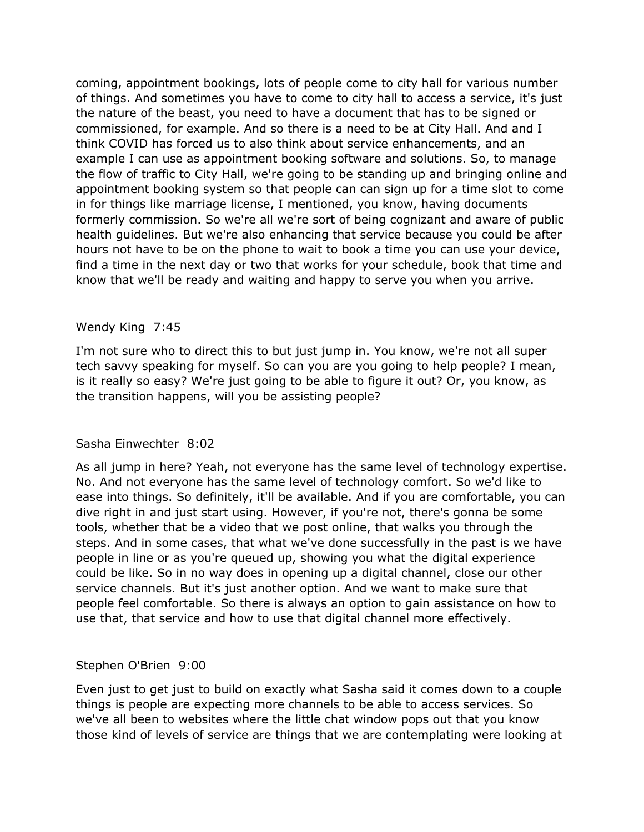coming, appointment bookings, lots of people come to city hall for various number of things. And sometimes you have to come to city hall to access a service, it's just the nature of the beast, you need to have a document that has to be signed or commissioned, for example. And so there is a need to be at City Hall. And and I think COVID has forced us to also think about service enhancements, and an example I can use as appointment booking software and solutions. So, to manage the flow of traffic to City Hall, we're going to be standing up and bringing online and appointment booking system so that people can can sign up for a time slot to come in for things like marriage license, I mentioned, you know, having documents formerly commission. So we're all we're sort of being cognizant and aware of public health guidelines. But we're also enhancing that service because you could be after hours not have to be on the phone to wait to book a time you can use your device, find a time in the next day or two that works for your schedule, book that time and know that we'll be ready and waiting and happy to serve you when you arrive.

## Wendy King 7:45

I'm not sure who to direct this to but just jump in. You know, we're not all super tech savvy speaking for myself. So can you are you going to help people? I mean, is it really so easy? We're just going to be able to figure it out? Or, you know, as the transition happens, will you be assisting people?

# Sasha Einwechter 8:02

As all jump in here? Yeah, not everyone has the same level of technology expertise. No. And not everyone has the same level of technology comfort. So we'd like to ease into things. So definitely, it'll be available. And if you are comfortable, you can dive right in and just start using. However, if you're not, there's gonna be some tools, whether that be a video that we post online, that walks you through the steps. And in some cases, that what we've done successfully in the past is we have people in line or as you're queued up, showing you what the digital experience could be like. So in no way does in opening up a digital channel, close our other service channels. But it's just another option. And we want to make sure that people feel comfortable. So there is always an option to gain assistance on how to use that, that service and how to use that digital channel more effectively.

#### Stephen O'Brien 9:00

Even just to get just to build on exactly what Sasha said it comes down to a couple things is people are expecting more channels to be able to access services. So we've all been to websites where the little chat window pops out that you know those kind of levels of service are things that we are contemplating were looking at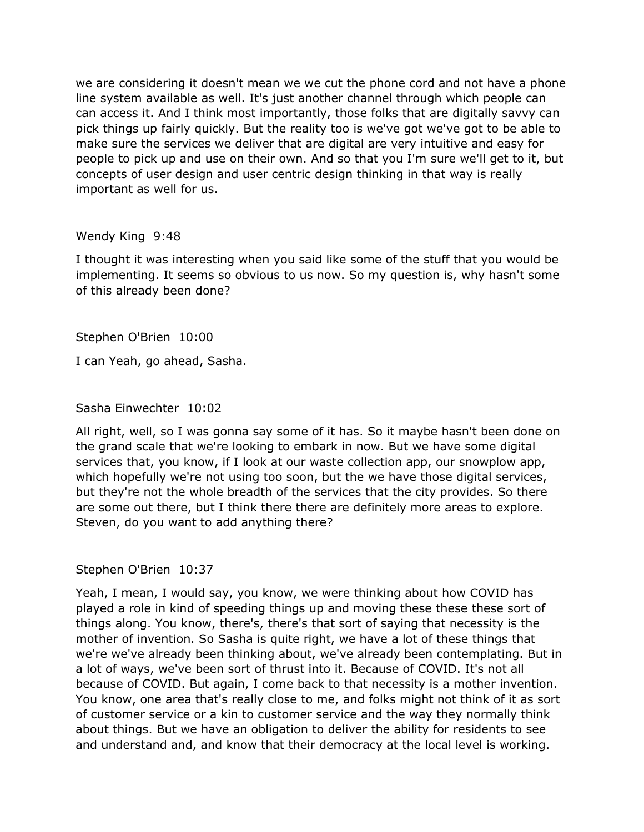we are considering it doesn't mean we we cut the phone cord and not have a phone line system available as well. It's just another channel through which people can can access it. And I think most importantly, those folks that are digitally savvy can pick things up fairly quickly. But the reality too is we've got we've got to be able to make sure the services we deliver that are digital are very intuitive and easy for people to pick up and use on their own. And so that you I'm sure we'll get to it, but concepts of user design and user centric design thinking in that way is really important as well for us.

#### Wendy King 9:48

I thought it was interesting when you said like some of the stuff that you would be implementing. It seems so obvious to us now. So my question is, why hasn't some of this already been done?

Stephen O'Brien 10:00

I can Yeah, go ahead, Sasha.

Sasha Einwechter 10:02

All right, well, so I was gonna say some of it has. So it maybe hasn't been done on the grand scale that we're looking to embark in now. But we have some digital services that, you know, if I look at our waste collection app, our snowplow app, which hopefully we're not using too soon, but the we have those digital services, but they're not the whole breadth of the services that the city provides. So there are some out there, but I think there there are definitely more areas to explore. Steven, do you want to add anything there?

Stephen O'Brien 10:37

Yeah, I mean, I would say, you know, we were thinking about how COVID has played a role in kind of speeding things up and moving these these these sort of things along. You know, there's, there's that sort of saying that necessity is the mother of invention. So Sasha is quite right, we have a lot of these things that we're we've already been thinking about, we've already been contemplating. But in a lot of ways, we've been sort of thrust into it. Because of COVID. It's not all because of COVID. But again, I come back to that necessity is a mother invention. You know, one area that's really close to me, and folks might not think of it as sort of customer service or a kin to customer service and the way they normally think about things. But we have an obligation to deliver the ability for residents to see and understand and, and know that their democracy at the local level is working.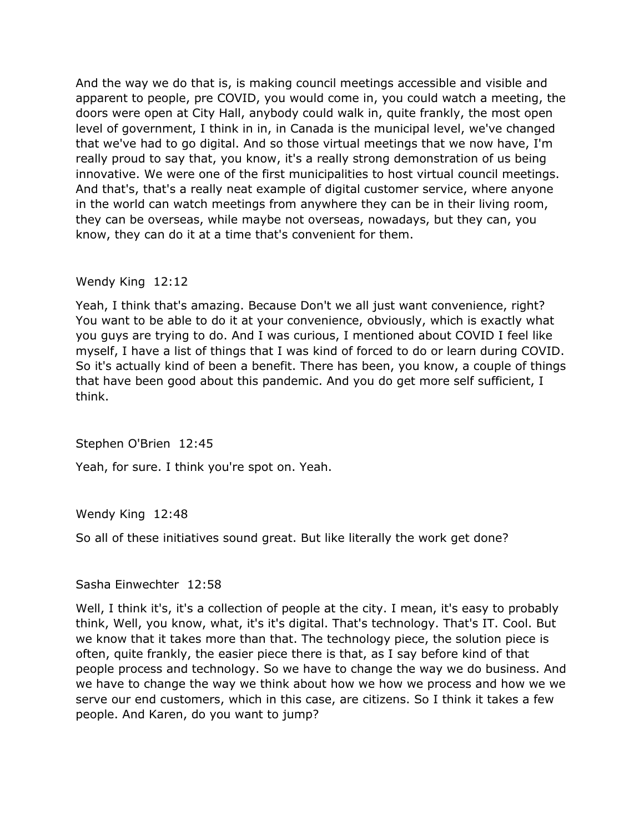And the way we do that is, is making council meetings accessible and visible and apparent to people, pre COVID, you would come in, you could watch a meeting, the doors were open at City Hall, anybody could walk in, quite frankly, the most open level of government, I think in in, in Canada is the municipal level, we've changed that we've had to go digital. And so those virtual meetings that we now have, I'm really proud to say that, you know, it's a really strong demonstration of us being innovative. We were one of the first municipalities to host virtual council meetings. And that's, that's a really neat example of digital customer service, where anyone in the world can watch meetings from anywhere they can be in their living room, they can be overseas, while maybe not overseas, nowadays, but they can, you know, they can do it at a time that's convenient for them.

#### Wendy King 12:12

Yeah, I think that's amazing. Because Don't we all just want convenience, right? You want to be able to do it at your convenience, obviously, which is exactly what you guys are trying to do. And I was curious, I mentioned about COVID I feel like myself, I have a list of things that I was kind of forced to do or learn during COVID. So it's actually kind of been a benefit. There has been, you know, a couple of things that have been good about this pandemic. And you do get more self sufficient, I think.

#### Stephen O'Brien 12:45

Yeah, for sure. I think you're spot on. Yeah.

# Wendy King 12:48

So all of these initiatives sound great. But like literally the work get done?

#### Sasha Einwechter 12:58

Well, I think it's, it's a collection of people at the city. I mean, it's easy to probably think, Well, you know, what, it's it's digital. That's technology. That's IT. Cool. But we know that it takes more than that. The technology piece, the solution piece is often, quite frankly, the easier piece there is that, as I say before kind of that people process and technology. So we have to change the way we do business. And we have to change the way we think about how we how we process and how we we serve our end customers, which in this case, are citizens. So I think it takes a few people. And Karen, do you want to jump?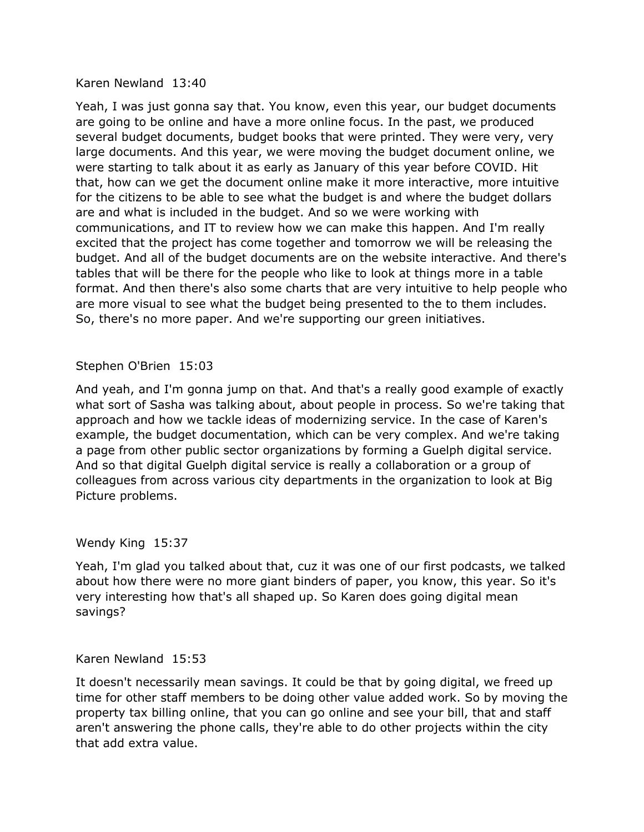#### Karen Newland 13:40

Yeah, I was just gonna say that. You know, even this year, our budget documents are going to be online and have a more online focus. In the past, we produced several budget documents, budget books that were printed. They were very, very large documents. And this year, we were moving the budget document online, we were starting to talk about it as early as January of this year before COVID. Hit that, how can we get the document online make it more interactive, more intuitive for the citizens to be able to see what the budget is and where the budget dollars are and what is included in the budget. And so we were working with communications, and IT to review how we can make this happen. And I'm really excited that the project has come together and tomorrow we will be releasing the budget. And all of the budget documents are on the website interactive. And there's tables that will be there for the people who like to look at things more in a table format. And then there's also some charts that are very intuitive to help people who are more visual to see what the budget being presented to the to them includes. So, there's no more paper. And we're supporting our green initiatives.

## Stephen O'Brien 15:03

And yeah, and I'm gonna jump on that. And that's a really good example of exactly what sort of Sasha was talking about, about people in process. So we're taking that approach and how we tackle ideas of modernizing service. In the case of Karen's example, the budget documentation, which can be very complex. And we're taking a page from other public sector organizations by forming a Guelph digital service. And so that digital Guelph digital service is really a collaboration or a group of colleagues from across various city departments in the organization to look at Big Picture problems.

#### Wendy King 15:37

Yeah, I'm glad you talked about that, cuz it was one of our first podcasts, we talked about how there were no more giant binders of paper, you know, this year. So it's very interesting how that's all shaped up. So Karen does going digital mean savings?

### Karen Newland 15:53

It doesn't necessarily mean savings. It could be that by going digital, we freed up time for other staff members to be doing other value added work. So by moving the property tax billing online, that you can go online and see your bill, that and staff aren't answering the phone calls, they're able to do other projects within the city that add extra value.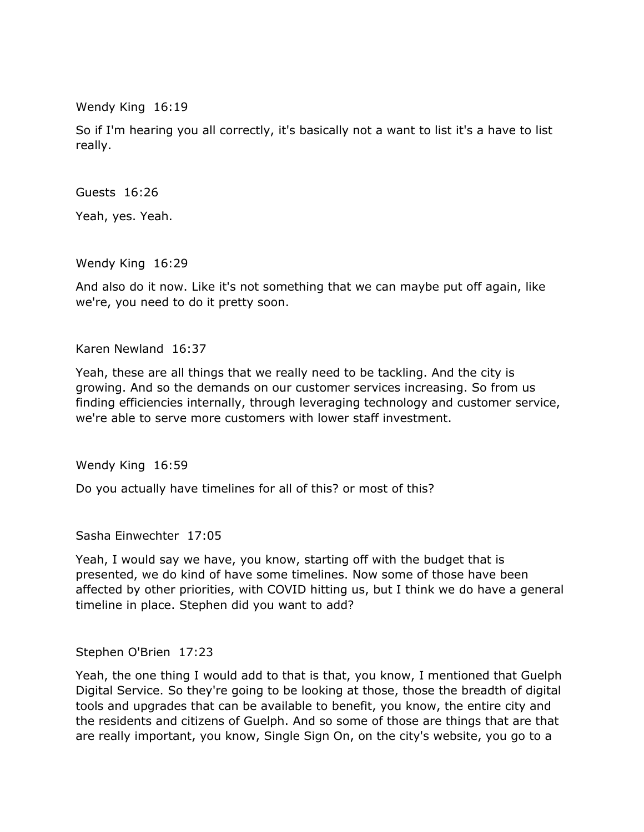Wendy King 16:19

So if I'm hearing you all correctly, it's basically not a want to list it's a have to list really.

Guests 16:26

Yeah, yes. Yeah.

Wendy King 16:29

And also do it now. Like it's not something that we can maybe put off again, like we're, you need to do it pretty soon.

Karen Newland 16:37

Yeah, these are all things that we really need to be tackling. And the city is growing. And so the demands on our customer services increasing. So from us finding efficiencies internally, through leveraging technology and customer service, we're able to serve more customers with lower staff investment.

Wendy King 16:59

Do you actually have timelines for all of this? or most of this?

Sasha Einwechter 17:05

Yeah, I would say we have, you know, starting off with the budget that is presented, we do kind of have some timelines. Now some of those have been affected by other priorities, with COVID hitting us, but I think we do have a general timeline in place. Stephen did you want to add?

Stephen O'Brien 17:23

Yeah, the one thing I would add to that is that, you know, I mentioned that Guelph Digital Service. So they're going to be looking at those, those the breadth of digital tools and upgrades that can be available to benefit, you know, the entire city and the residents and citizens of Guelph. And so some of those are things that are that are really important, you know, Single Sign On, on the city's website, you go to a